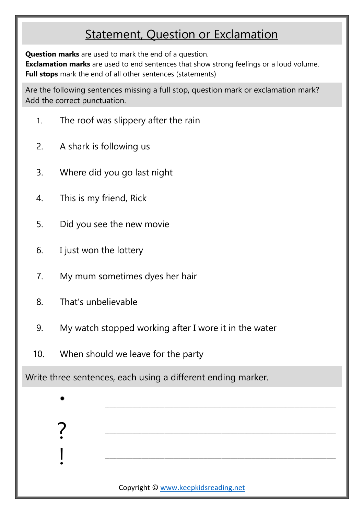## Statement, Question or Exclamation

**Question marks** are used to mark the end of a question.

**Exclamation marks** are used to end sentences that show strong feelings or a loud volume. **Full stops** mark the end of all other sentences (statements)

Are the following sentences missing a full stop, question mark or exclamation mark? Add the correct punctuation.

- 1. The roof was slippery after the rain
- 2. A shark is following us
- 3. Where did you go last night
- 4. This is my friend, Rick
- 5. Did you see the new movie
- 6. I just won the lottery
- 7. My mum sometimes dyes her hair
- 8. That's unbelievable

?

!

- 9. My watch stopped working after I wore it in the water
- 10. When should we leave for the party

Write three sentences, each using a different ending marker.

Copyright © [www.keepkidsreading.net](http://www.keepkidsreading.net/)

\_\_\_\_\_\_\_\_\_\_\_\_\_\_\_\_\_\_\_\_\_\_\_\_\_\_\_\_\_\_\_\_\_\_\_\_\_\_\_\_\_\_\_\_\_\_\_\_\_\_\_\_\_\_\_\_\_\_\_\_\_\_\_\_\_\_\_\_\_\_\_\_\_\_\_\_\_\_\_\_\_\_\_\_\_\_\_\_\_\_\_\_\_\_\_\_\_\_\_\_\_

\_\_\_\_\_\_\_\_\_\_\_\_\_\_\_\_\_\_\_\_\_\_\_\_\_\_\_\_\_\_\_\_\_\_\_\_\_\_\_\_\_\_\_\_\_\_\_\_\_\_\_\_\_\_\_\_\_\_\_\_\_\_\_\_\_\_\_\_\_\_\_\_\_\_\_\_\_\_\_\_\_\_\_\_\_\_\_\_\_\_\_\_\_\_\_\_\_\_\_\_\_

\_\_\_\_\_\_\_\_\_\_\_\_\_\_\_\_\_\_\_\_\_\_\_\_\_\_\_\_\_\_\_\_\_\_\_\_\_\_\_\_\_\_\_\_\_\_\_\_\_\_\_\_\_\_\_\_\_\_\_\_\_\_\_\_\_\_\_\_\_\_\_\_\_\_\_\_\_\_\_\_\_\_\_\_\_\_\_\_\_\_\_\_\_\_\_\_\_\_\_\_\_